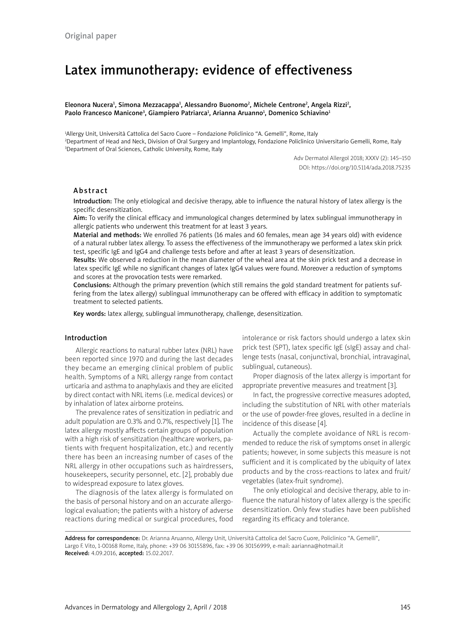# Latex immunotherapy: evidence of effectiveness

Eleonora Nucera<sup>1</sup>, Simona Mezzacappa<sup>1</sup>, Alessandro Buonomo<sup>2</sup>, Michele Centrone<sup>2</sup>, Angela Rizzi<sup>2</sup>, Paolo Francesco Manicone<sup>3</sup>, Giampiero Patriarca<sup>1</sup>, Arianna Aruanno<sup>1</sup>, Domenico Schiavino<sup>1</sup>

1 Allergy Unit, Università Cattolica del Sacro Cuore – Fondazione Policlinico "A. Gemelli", Rome, Italy 2 Department of Head and Neck, Division of Oral Surgery and Implantology, Fondazione Policlinico Universitario Gemelli, Rome, Italy 3 Department of Oral Sciences, Catholic University, Rome, Italy

> Adv Dermatol Allergol 2018; XXXV (2): 145–150 DOI: https://doi.org/10.5114/ada.2018.75235

### Abstract

Introduction: The only etiological and decisive therapy, able to influence the natural history of latex allergy is the specific desensitization.

Aim: To verify the clinical efficacy and immunological changes determined by latex sublingual immunotherapy in allergic patients who underwent this treatment for at least 3 years.

Material and methods: We enrolled 76 patients (16 males and 60 females, mean age 34 years old) with evidence of a natural rubber latex allergy. To assess the effectiveness of the immunotherapy we performed a latex skin prick test, specific IgE and IgG4 and challenge tests before and after at least 3 years of desensitization.

Results: We observed a reduction in the mean diameter of the wheal area at the skin prick test and a decrease in latex specific IgE while no significant changes of latex IgG4 values were found. Moreover a reduction of symptoms and scores at the provocation tests were remarked.

Conclusions: Although the primary prevention (which still remains the gold standard treatment for patients suffering from the latex allergy) sublingual immunotherapy can be offered with efficacy in addition to symptomatic treatment to selected patients.

Key words: latex allergy, sublingual immunotherapy, challenge, desensitization.

#### Introduction

Allergic reactions to natural rubber latex (NRL) have been reported since 1970 and during the last decades they became an emerging clinical problem of public health. Symptoms of a NRL allergy range from contact urticaria and asthma to anaphylaxis and they are elicited by direct contact with NRL items (i.e. medical devices) or by inhalation of latex airborne proteins.

The prevalence rates of sensitization in pediatric and adult population are 0.3% and 0.7%, respectively [1]. The latex allergy mostly affects certain groups of population with a high risk of sensitization (healthcare workers, patients with frequent hospitalization, etc.) and recently there has been an increasing number of cases of the NRL allergy in other occupations such as hairdressers, housekeepers, security personnel, etc. [2], probably due to widespread exposure to latex gloves.

The diagnosis of the latex allergy is formulated on the basis of personal history and on an accurate allergological evaluation; the patients with a history of adverse reactions during medical or surgical procedures, food intolerance or risk factors should undergo a latex skin prick test (SPT), latex specific IgE (sIgE) assay and challenge tests (nasal, conjunctival, bronchial, intravaginal, sublingual, cutaneous).

Proper diagnosis of the latex allergy is important for appropriate preventive measures and treatment [3].

In fact, the progressive corrective measures adopted, including the substitution of NRL with other materials or the use of powder-free gloves, resulted in a decline in incidence of this disease [4].

Actually the complete avoidance of NRL is recommended to reduce the risk of symptoms onset in allergic patients; however, in some subjects this measure is not sufficient and it is complicated by the ubiquity of latex products and by the cross-reactions to latex and fruit/ vegetables (latex-fruit syndrome).

The only etiological and decisive therapy, able to influence the natural history of latex allergy is the specific desensitization. Only few studies have been published regarding its efficacy and tolerance.

Address for correspondence: Dr. Arianna Aruanno, Allergy Unit, Università Cattolica del Sacro Cuore, Policlinico "A. Gemelli", Largo F. Vito, 1-00168 Rome, Italy, phone: +39 06 30155896, fax: +39 06 30156999, e-mail: [aarianna@hotmail.it](mailto:aarianna@hotmail.it) Received: 4.09.2016, accepted: 15.02.2017.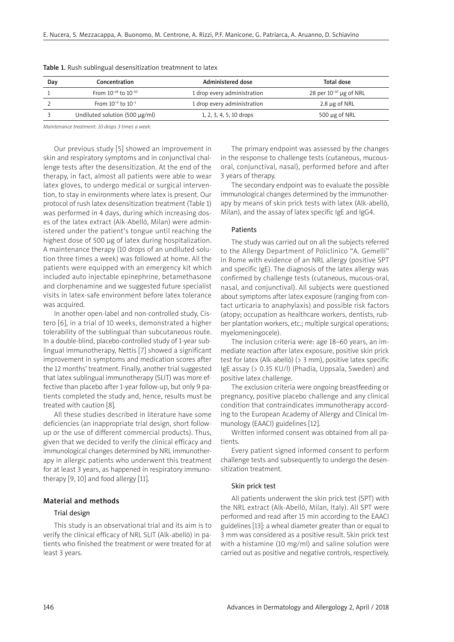| Day | Concentration                  | Administered dose           | Total dose                  |
|-----|--------------------------------|-----------------------------|-----------------------------|
|     | From $10^{-18}$ to $10^{-10}$  | 1 drop every administration | 28 per $10^{-10}$ µg of NRL |
|     | From $10^{-9}$ to $10^{-1}$    | 1 drop every administration | 2.8 $\mu$ g of NRL          |
|     | Undiluted solution (500 µg/ml) | 1, 2, 3, 4, 5, 10 drops     | 500 $\mu$ g of NRL          |

Table 1. Rush sublingual desensitization treatmnent to latex

*Maintenance treatment: 10 drops 3 times a week.*

Our previous study [5] showed an improvement in skin and respiratory symptoms and in conjunctival challenge tests after the desensitization. At the end of the therapy, in fact, almost all patients were able to wear latex gloves, to undergo medical or surgical intervention, to stay in environments where latex is present. Our protocol of rush latex desensitization treatment (Table 1) was performed in 4 days, during which increasing doses of the latex extract (Alk-Abellò, Milan) were administered under the patient's tongue until reaching the highest dose of 500 µg of latex during hospitalization. A maintenance therapy (10 drops of an undiluted solution three times a week) was followed at home. All the patients were equipped with an emergency kit which included auto injectable epinephrine, betamethasone and clorphenamine and we suggested future specialist visits in latex-safe environment before latex tolerance was acquired.

In another open-label and non-controlled study, Cistero [6], in a trial of 10 weeks, demonstrated a higher tolerability of the sublingual than subcutaneous route. In a double-blind, placebo-controlled study of 1-year sublingual immunotherapy, Nettis [7] showed a significant improvement in symptoms and medication scores after the 12 months' treatment. Finally, another trial suggested that latex sublingual immunotherapy (SLIT) was more effective than placebo after 1-year follow-up, but only 9 patients completed the study and, hence, results must be treated with caution [8].

All these studies described in literature have some deficiencies (an inappropriate trial design, short followup or the use of different commercial products). Thus, given that we decided to verify the clinical efficacy and immunological changes determined by NRL immunotherapy in allergic patients who underwent this treatment for at least 3 years, as happened in respiratory immunotherapy [9, 10] and food allergy [11].

#### Material and methods

#### Trial design

This study is an observational trial and its aim is to verify the clinical efficacy of NRL SLIT (Alk-abellò) in patients who finished the treatment or were treated for at least 3 years.

The primary endpoint was assessed by the changes in the response to challenge tests (cutaneous, mucousoral, conjunctival, nasal), performed before and after 3 years of therapy.

The secondary endpoint was to evaluate the possible immunological changes determined by the immunotherapy by means of skin prick tests with latex (Alk-abellò, Milan), and the assay of latex specific IgE and IgG4.

# Patients

The study was carried out on all the subjects referred to the Allergy Department of Policlinico "A. Gemelli" in Rome with evidence of an NRL allergy (positive SPT and specific IgE). The diagnosis of the latex allergy was confirmed by challenge tests (cutaneous, mucous-oral, nasal, and conjunctival). All subjects were questioned about symptoms after latex exposure (ranging from contact urticaria to anaphylaxis) and possible risk factors (atopy; occupation as healthcare workers, dentists, rubber plantation workers, etc.; multiple surgical operations; myelomeningocele).

The inclusion criteria were: age 18–60 years, an immediate reaction after latex exposure, positive skin prick test for latex (Alk-abellò) (> 3 mm), positive latex specific IgE assay (> 0.35 KU/l) (Phadia, Uppsala, Sweden) and positive latex challenge.

The exclusion criteria were ongoing breastfeeding or pregnancy, positive placebo challenge and any clinical condition that contraindicates immunotherapy according to the European Academy of Allergy and Clinical Immunology (EAACI) guidelines [12].

Written informed consent was obtained from all patients.

Every patient signed informed consent to perform challenge tests and subsequently to undergo the desensitization treatment.

#### Skin prick test

All patients underwent the skin prick test (SPT) with the NRL extract (Alk-Abellò, Milan, Italy). All SPT were performed and read after 15 min according to the EAACI guidelines [13]: a wheal diameter greater than or equal to 3 mm was considered as a positive result. Skin prick test with a histamine (10 mg/ml) and saline solution were carried out as positive and negative controls, respectively.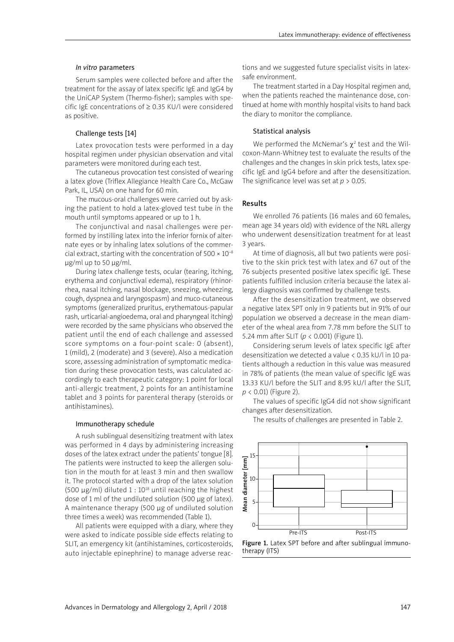#### *In vitro* parameters

Serum samples were collected before and after the treatment for the assay of latex specific IgE and IgG4 by the UniCAP System (Thermo-fisher); samples with specific IgE concentrations of ≥ 0.35 KU/l were considered as positive.

#### Challenge tests [14]

Latex provocation tests were performed in a day hospital regimen under physician observation and vital parameters were monitored during each test.

The cutaneous provocation test consisted of wearing a latex glove (Triflex Allegiance Health Care Co., McGaw Park, IL, USA) on one hand for 60 min.

The mucous-oral challenges were carried out by asking the patient to hold a latex-gloved test tube in the mouth until symptoms appeared or up to 1 h.

The conjunctival and nasal challenges were performed by instilling latex into the inferior fornix of alternate eyes or by inhaling latex solutions of the commercial extract, starting with the concentration of  $500 \times 10^{-8}$ µg/ml up to 50 µg/ml.

During latex challenge tests, ocular (tearing, itching, erythema and conjunctival edema), respiratory (rhinorrhea, nasal itching, nasal blockage, sneezing, wheezing, cough, dyspnea and laryngospasm) and muco-cutaneous symptoms (generalized pruritus, erythematous-papular rash, urticarial-angioedema, oral and pharyngeal itching) were recorded by the same physicians who observed the patient until the end of each challenge and assessed score symptoms on a four-point scale: 0 (absent), 1 (mild), 2 (moderate) and 3 (severe). Also a medication score, assessing administration of symptomatic medication during these provocation tests, was calculated accordingly to each therapeutic category: 1 point for local anti-allergic treatment, 2 points for an antihistamine tablet and 3 points for parenteral therapy (steroids or antihistamines).

#### Immunotherapy schedule

A rush sublingual desensitizing treatment with latex was performed in 4 days by administering increasing doses of the latex extract under the patients' tongue [8]. The patients were instructed to keep the allergen solution in the mouth for at least 3 min and then swallow it. The protocol started with a drop of the latex solution (500  $\mu$ g/ml) diluted 1 : 10<sup>18</sup> until reaching the highest dose of 1 ml of the undiluted solution (500 µg of latex). A maintenance therapy (500 µg of undiluted solution three times a week) was recommended (Table 1).

All patients were equipped with a diary, where they were asked to indicate possible side effects relating to SLIT, an emergency kit (antihistamines, corticosteroids, auto injectable epinephrine) to manage adverse reactions and we suggested future specialist visits in latexsafe environment.

The treatment started in a Day Hospital regimen and, when the patients reached the maintenance dose, continued at home with monthly hospital visits to hand back the diary to monitor the compliance.

#### Statistical analysis

We performed the McNemar's  $\chi^2$  test and the Wilcoxon-Mann-Whitney test to evaluate the results of the challenges and the changes in skin prick tests, latex specific IgE and IgG4 before and after the desensitization. The significance level was set at *p* > 0.05.

#### Results

We enrolled 76 patients (16 males and 60 females, mean age 34 years old) with evidence of the NRL allergy who underwent desensitization treatment for at least 3 years.

At time of diagnosis, all but two patients were positive to the skin prick test with latex and 67 out of the 76 subjects presented positive latex specific IgE. These patients fulfilled inclusion criteria because the latex allergy diagnosis was confirmed by challenge tests.

After the desensitization treatment, we observed a negative latex SPT only in 9 patients but in 91% of our population we observed a decrease in the mean diameter of the wheal area from 7.78 mm before the SLIT to 5.24 mm after SLIT (*p* < 0.001) (Figure 1).

Considering serum levels of latex specific IgE after desensitization we detected a value < 0.35 kU/l in 10 patients although a reduction in this value was measured in 78% of patients (the mean value of specific IgE was 13.33 KU/l before the SLIT and 8.95 kU/l after the SLIT, *p* < 0.01) (Figure 2).

The values of specific IgG4 did not show significant changes after desensitization.

The results of challenges are presented in Table 2.



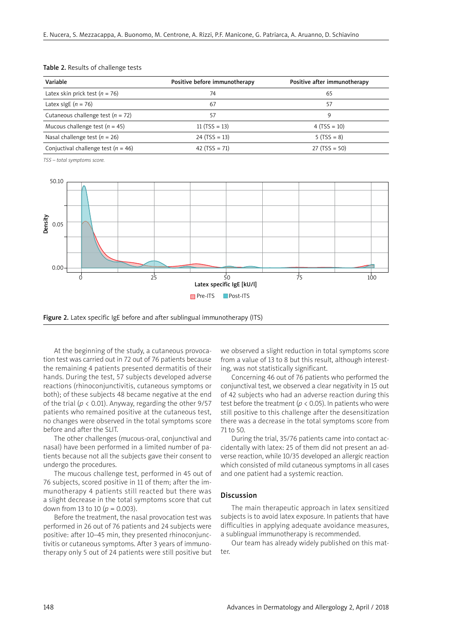| Variable                                | Positive before immunotherapy | Positive after immunotherapy |
|-----------------------------------------|-------------------------------|------------------------------|
| Latex skin prick test ( $n = 76$ )      | 74                            | 65                           |
| Latex sigE $(n = 76)$                   | 67                            | 57                           |
| Cutaneous challenge test ( $n = 72$ )   | 57                            | q                            |
| Mucous challenge test ( $n = 45$ )      | $11 (TSS = 13)$               | $4 (TSS = 10)$               |
| Nasal challenge test ( $n = 26$ )       | $24$ (TSS = 13)               | $5 (TSS = 8)$                |
| Conjuctival challenge test ( $n = 46$ ) | 42 (TSS = 71)                 | $27 (TSS = 50)$              |

#### Table 2. Results of challenge tests

*TSS – total symptoms score.*



Figure 2. Latex specific IgE before and after sublingual immunotherapy (ITS)

At the beginning of the study, a cutaneous provocation test was carried out in 72 out of 76 patients because the remaining 4 patients presented dermatitis of their hands. During the test, 57 subjects developed adverse reactions (rhinoconjunctivitis, cutaneous symptoms or both); of these subjects 48 became negative at the end of the trial ( $p < 0.01$ ). Anyway, regarding the other 9/57 patients who remained positive at the cutaneous test, no changes were observed in the total symptoms score before and after the SLIT.

The other challenges (mucous-oral, conjunctival and nasal) have been performed in a limited number of patients because not all the subjects gave their consent to undergo the procedures.

The mucous challenge test, performed in 45 out of 76 subjects, scored positive in 11 of them; after the immunotherapy 4 patients still reacted but there was a slight decrease in the total symptoms score that cut down from 13 to 10 (*p* = 0.003).

Before the treatment, the nasal provocation test was performed in 26 out of 76 patients and 24 subjects were positive: after 10–45 min, they presented rhinoconjunctivitis or cutaneous symptoms. After 3 years of immunotherapy only 5 out of 24 patients were still positive but we observed a slight reduction in total symptoms score from a value of 13 to 8 but this result, although interesting, was not statistically significant.

Concerning 46 out of 76 patients who performed the conjunctival test, we observed a clear negativity in 15 out of 42 subjects who had an adverse reaction during this test before the treatment ( $p < 0.05$ ). In patients who were still positive to this challenge after the desensitization there was a decrease in the total symptoms score from 71 to 50.

During the trial, 35/76 patients came into contact accidentally with latex: 25 of them did not present an adverse reaction, while 10/35 developed an allergic reaction which consisted of mild cutaneous symptoms in all cases and one patient had a systemic reaction.

#### Discussion

The main therapeutic approach in latex sensitized subjects is to avoid latex exposure. In patients that have difficulties in applying adequate avoidance measures, a sublingual immunotherapy is recommended.

Our team has already widely published on this matter.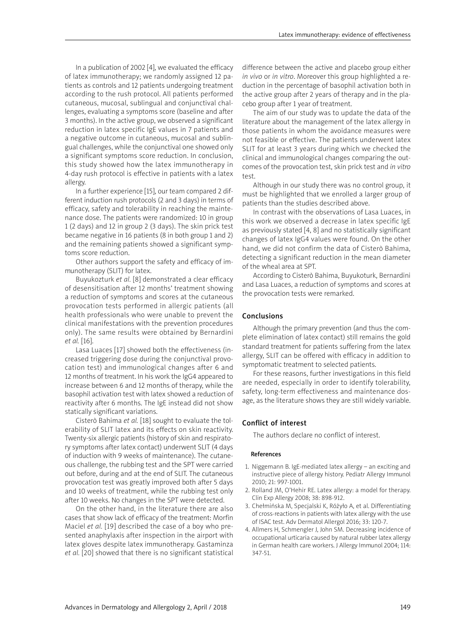In a publication of 2002 [4], we evaluated the efficacy of latex immunotherapy; we randomly assigned 12 patients as controls and 12 patients undergoing treatment according to the rush protocol. All patients performed cutaneous, mucosal, sublingual and conjunctival challenges, evaluating a symptoms score (baseline and after 3 months). In the active group, we observed a significant reduction in latex specific IgE values in 7 patients and a negative outcome in cutaneous, mucosal and sublingual challenges, while the conjunctival one showed only a significant symptoms score reduction. In conclusion, this study showed how the latex immunotherapy in 4-day rush protocol is effective in patients with a latex allergy.

In a further experience [15], our team compared 2 different induction rush protocols (2 and 3 days) in terms of efficacy, safety and tolerability in reaching the maintenance dose. The patients were randomized: 10 in group 1 (2 days) and 12 in group 2 (3 days). The skin prick test became negative in 16 patients (8 in both group 1 and 2) and the remaining patients showed a significant symptoms score reduction.

Other authors support the safety and efficacy of immunotherapy (SLIT) for latex.

Buyukozturk *et al.* [8] demonstrated a clear efficacy of desensitisation after 12 months' treatment showing a reduction of symptoms and scores at the cutaneous provocation tests performed in allergic patients (all health professionals who were unable to prevent the clinical manifestations with the prevention procedures only). The same results were obtained by Bernardini *et al.* [16].

Lasa Luaces [17] showed both the effectiveness (increased triggering dose during the conjunctival provocation test) and immunological changes after 6 and 12 months of treatment. In his work the IgG4 appeared to increase between 6 and 12 months of therapy, while the basophil activation test with latex showed a reduction of reactivity after 6 months. The IgE instead did not show statically significant variations.

Cisterò Bahima *et al.* [18] sought to evaluate the tolerability of SLIT latex and its effects on skin reactivity. Twenty-six allergic patients (history of skin and respiratory symptoms after latex contact) underwent SLIT (4 days of induction with 9 weeks of maintenance). The cutaneous challenge, the rubbing test and the SPT were carried out before, during and at the end of SLIT. The cutaneous provocation test was greatly improved both after 5 days and 10 weeks of treatment, while the rubbing test only after 10 weeks. No changes in the SPT were detected.

On the other hand, in the literature there are also cases that show lack of efficacy of the treatment: Morfin Maciel *et al.* [19] described the case of a boy who presented anaphylaxis after inspection in the airport with latex gloves despite latex immunotherapy. Gastaminza *et al.* [20] showed that there is no significant statistical difference between the active and placebo group either *in vivo* or *in vitro*. Moreover this group highlighted a reduction in the percentage of basophil activation both in the active group after 2 years of therapy and in the placebo group after 1 year of treatment.

The aim of our study was to update the data of the literature about the management of the latex allergy in those patients in whom the avoidance measures were not feasible or effective. The patients underwent latex SLIT for at least 3 years during which we checked the clinical and immunological changes comparing the outcomes of the provocation test, skin prick test and *in vitro* test.

Although in our study there was no control group, it must be highlighted that we enrolled a larger group of patients than the studies described above.

In contrast with the observations of Lasa Luaces, in this work we observed a decrease in latex specific IgE as previously stated [4, 8] and no statistically significant changes of latex IgG4 values were found. On the other hand, we did not confirm the data of Cisterò Bahima, detecting a significant reduction in the mean diameter of the wheal area at SPT.

According to Cisterò Bahima, Buyukoturk, Bernardini and Lasa Luaces, a reduction of symptoms and scores at the provocation tests were remarked.

#### Conclusions

Although the primary prevention (and thus the complete elimination of latex contact) still remains the gold standard treatment for patients suffering from the latex allergy, SLIT can be offered with efficacy in addition to symptomatic treatment to selected patients.

For these reasons, further investigations in this field are needed, especially in order to identify tolerability, safety, long-term effectiveness and maintenance dosage, as the literature shows they are still widely variable.

# Conflict of interest

The authors declare no conflict of interest.

#### References

- 1. Niggemann B. IgE-mediated latex allergy an exciting and instructive piece of allergy history. Pediatr Allergy Immunol 2010; 21: 997-1001.
- 2. Rolland JM, O'Hehir RE. Latex allergy: a model for therapy. Clin Exp Allergy 2008; 38: 898-912.
- 3. Chełmińska M, Specjalski K, Różyło A, et al. Differentiating of cross-reactions in patients with latex allergy with the use of ISAC test. Adv Dermatol Allergol 2016; 33: 120-7.
- 4. Allmers H, Schmengler J, John SM. Decreasing incidence of occupational urticaria caused by natural rubber latex allergy in German health care workers. J Allergy Immunol 2004; 114: 347-51.